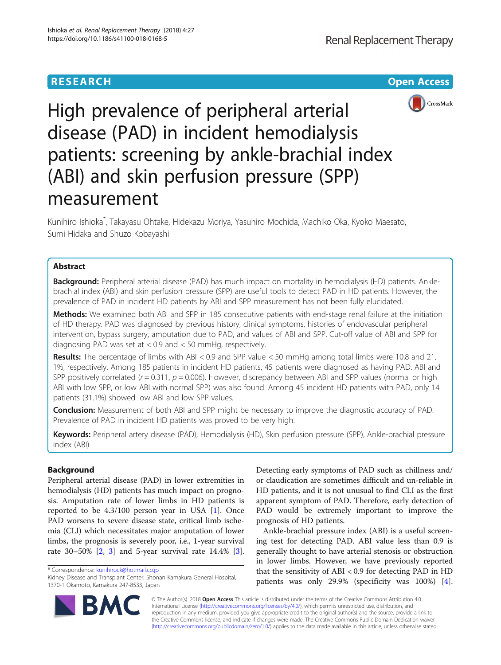

High prevalence of peripheral arterial disease (PAD) in incident hemodialysis patients: screening by ankle-brachial index (ABI) and skin perfusion pressure (SPP) measurement

Kunihiro Ishioka\* , Takayasu Ohtake, Hidekazu Moriya, Yasuhiro Mochida, Machiko Oka, Kyoko Maesato, Sumi Hidaka and Shuzo Kobayashi

# Abstract

Background: Peripheral arterial disease (PAD) has much impact on mortality in hemodialysis (HD) patients. Anklebrachial index (ABI) and skin perfusion pressure (SPP) are useful tools to detect PAD in HD patients. However, the prevalence of PAD in incident HD patients by ABI and SPP measurement has not been fully elucidated.

Methods: We examined both ABI and SPP in 185 consecutive patients with end-stage renal failure at the initiation of HD therapy. PAD was diagnosed by previous history, clinical symptoms, histories of endovascular peripheral intervention, bypass surgery, amputation due to PAD, and values of ABI and SPP. Cut-off value of ABI and SPP for diagnosing PAD was set at < 0.9 and < 50 mmHg, respectively.

Results: The percentage of limbs with ABI < 0.9 and SPP value < 50 mmHg among total limbs were 10.8 and 21. 1%, respectively. Among 185 patients in incident HD patients, 45 patients were diagnosed as having PAD. ABI and SPP positively correlated ( $r = 0.311$ ,  $p = 0.006$ ). However, discrepancy between ABI and SPP values (normal or high ABI with low SPP, or low ABI with normal SPP) was also found. Among 45 incident HD patients with PAD, only 14 patients (31.1%) showed low ABI and low SPP values.

**Conclusion:** Measurement of both ABI and SPP might be necessary to improve the diagnostic accuracy of PAD. Prevalence of PAD in incident HD patients was proved to be very high.

Keywords: Peripheral artery disease (PAD), Hemodialysis (HD), Skin perfusion pressure (SPP), Ankle-brachial pressure index (ABI)

# Background

Peripheral arterial disease (PAD) in lower extremities in hemodialysis (HD) patients has much impact on prognosis. Amputation rate of lower limbs in HD patients is reported to be 4.3/100 person year in USA [[1](#page-5-0)]. Once PAD worsens to severe disease state, critical limb ischemia (CLI) which necessitates major amputation of lower limbs, the prognosis is severely poor, i.e., 1-year survival rate 30–50% [\[2](#page-5-0), [3](#page-5-0)] and 5-year survival rate 14.4% [\[3](#page-5-0)].



Ankle-brachial pressure index (ABI) is a useful screening test for detecting PAD. ABI value less than 0.9 is generally thought to have arterial stenosis or obstruction in lower limbs. However, we have previously reported that the sensitivity of ABI < 0.9 for detecting PAD in HD patients was only 29.9% (specificity was 100%) [\[4](#page-5-0)].



© The Author(s). 2018 Open Access This article is distributed under the terms of the Creative Commons Attribution 4.0 International License [\(http://creativecommons.org/licenses/by/4.0/](http://creativecommons.org/licenses/by/4.0/)), which permits unrestricted use, distribution, and reproduction in any medium, provided you give appropriate credit to the original author(s) and the source, provide a link to the Creative Commons license, and indicate if changes were made. The Creative Commons Public Domain Dedication waiver [\(http://creativecommons.org/publicdomain/zero/1.0/](http://creativecommons.org/publicdomain/zero/1.0/)) applies to the data made available in this article, unless otherwise stated.

<sup>\*</sup> Correspondence: [kunihirock@hotmail.co.jp](mailto:kunihirock@hotmail.co.jp)

Kidney Disease and Transplant Center, Shonan Kamakura General Hospital, 1370-1 Okamoto, Kamakura 247-8533, Japan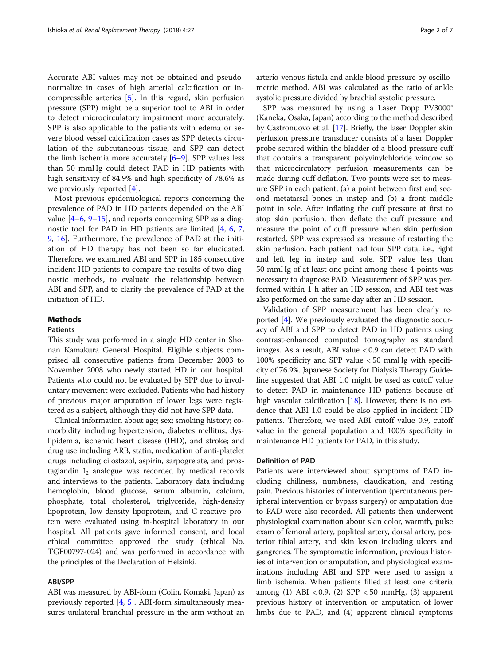Accurate ABI values may not be obtained and pseudonormalize in cases of high arterial calcification or incompressible arteries [[5\]](#page-5-0). In this regard, skin perfusion pressure (SPP) might be a superior tool to ABI in order to detect microcirculatory impairment more accurately. SPP is also applicable to the patients with edema or severe blood vessel calcification cases as SPP detects circulation of the subcutaneous tissue, and SPP can detect the limb ischemia more accurately [[6](#page-5-0)–[9](#page-5-0)]. SPP values less than 50 mmHg could detect PAD in HD patients with high sensitivity of 84.9% and high specificity of 78.6% as we previously reported [\[4](#page-5-0)].

Most previous epidemiological reports concerning the prevalence of PAD in HD patients depended on the ABI value  $[4-6, 9-15]$  $[4-6, 9-15]$  $[4-6, 9-15]$  $[4-6, 9-15]$  $[4-6, 9-15]$  $[4-6, 9-15]$  $[4-6, 9-15]$  $[4-6, 9-15]$ , and reports concerning SPP as a diagnostic tool for PAD in HD patients are limited [[4,](#page-5-0) [6,](#page-5-0) [7](#page-5-0), [9,](#page-5-0) [16](#page-5-0)]. Furthermore, the prevalence of PAD at the initiation of HD therapy has not been so far elucidated. Therefore, we examined ABI and SPP in 185 consecutive incident HD patients to compare the results of two diagnostic methods, to evaluate the relationship between ABI and SPP, and to clarify the prevalence of PAD at the initiation of HD.

# Methods

# Patients

This study was performed in a single HD center in Shonan Kamakura General Hospital. Eligible subjects comprised all consecutive patients from December 2003 to November 2008 who newly started HD in our hospital. Patients who could not be evaluated by SPP due to involuntary movement were excluded. Patients who had history of previous major amputation of lower legs were registered as a subject, although they did not have SPP data.

Clinical information about age; sex; smoking history; comorbidity including hypertension, diabetes mellitus, dyslipidemia, ischemic heart disease (IHD), and stroke; and drug use including ARB, statin, medication of anti-platelet drugs including cilostazol, aspirin, sarpogrelate, and prostaglandin  $I_2$  analogue was recorded by medical records and interviews to the patients. Laboratory data including hemoglobin, blood glucose, serum albumin, calcium, phosphate, total cholesterol, triglyceride, high-density lipoprotein, low-density lipoprotein, and C-reactive protein were evaluated using in-hospital laboratory in our hospital. All patients gave informed consent, and local ethical committee approved the study (ethical No. TGE00797-024) and was performed in accordance with the principles of the Declaration of Helsinki.

### ABI/SPP

ABI was measured by ABI-form (Colin, Komaki, Japan) as previously reported [\[4](#page-5-0), [5\]](#page-5-0). ABI-form simultaneously measures unilateral branchial pressure in the arm without an arterio-venous fistula and ankle blood pressure by oscillometric method. ABI was calculated as the ratio of ankle systolic pressure divided by brachial systolic pressure.

SPP was measured by using a Laser Dopp PV3000<sup>®</sup> (Kaneka, Osaka, Japan) according to the method described by Castronuovo et al. [[17](#page-5-0)]. Briefly, the laser Doppler skin perfusion pressure transducer consists of a laser Doppler probe secured within the bladder of a blood pressure cuff that contains a transparent polyvinylchloride window so that microcirculatory perfusion measurements can be made during cuff deflation. Two points were set to measure SPP in each patient, (a) a point between first and second metatarsal bones in instep and (b) a front middle point in sole. After inflating the cuff pressure at first to stop skin perfusion, then deflate the cuff pressure and measure the point of cuff pressure when skin perfusion restarted. SPP was expressed as pressure of restarting the skin perfusion. Each patient had four SPP data, i.e., right and left leg in instep and sole. SPP value less than 50 mmHg of at least one point among these 4 points was necessary to diagnose PAD. Measurement of SPP was performed within 1 h after an HD session, and ABI test was also performed on the same day after an HD session.

Validation of SPP measurement has been clearly reported [\[4](#page-5-0)]. We previously evaluated the diagnostic accuracy of ABI and SPP to detect PAD in HD patients using contrast-enhanced computed tomography as standard images. As a result, ABI value < 0.9 can detect PAD with 100% specificity and SPP value < 50 mmHg with specificity of 76.9%. Japanese Society for Dialysis Therapy Guideline suggested that ABI 1.0 might be used as cutoff value to detect PAD in maintenance HD patients because of high vascular calcification  $[18]$ . However, there is no evidence that ABI 1.0 could be also applied in incident HD patients. Therefore, we used ABI cutoff value 0.9, cutoff value in the general population and 100% specificity in maintenance HD patients for PAD, in this study.

### Definition of PAD

Patients were interviewed about symptoms of PAD including chillness, numbness, claudication, and resting pain. Previous histories of intervention (percutaneous peripheral intervention or bypass surgery) or amputation due to PAD were also recorded. All patients then underwent physiological examination about skin color, warmth, pulse exam of femoral artery, popliteal artery, dorsal artery, posterior tibial artery, and skin lesion including ulcers and gangrenes. The symptomatic information, previous histories of intervention or amputation, and physiological examinations including ABI and SPP were used to assign a limb ischemia. When patients filled at least one criteria among (1) ABI < 0.9, (2) SPP < 50 mmHg, (3) apparent previous history of intervention or amputation of lower limbs due to PAD, and (4) apparent clinical symptoms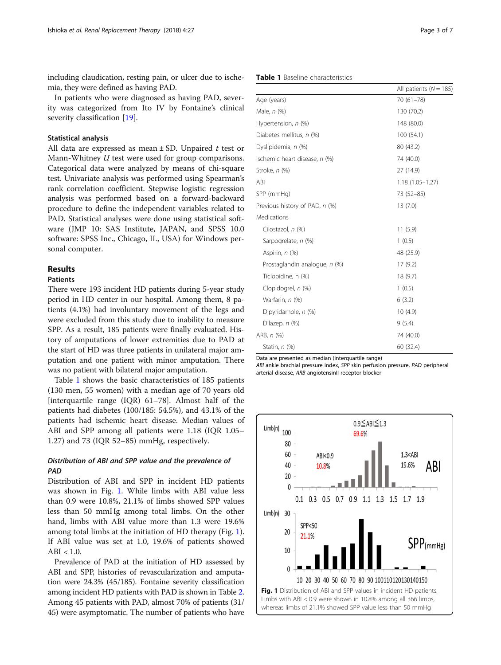including claudication, resting pain, or ulcer due to ischemia, they were defined as having PAD.

In patients who were diagnosed as having PAD, severity was categorized from Ito IV by Fontaine's clinical severity classification [[19\]](#page-5-0).

### Statistical analysis

All data are expressed as mean  $\pm$  SD. Unpaired t test or Mann-Whitney U test were used for group comparisons. Categorical data were analyzed by means of chi-square test. Univariate analysis was performed using Spearman's rank correlation coefficient. Stepwise logistic regression analysis was performed based on a forward-backward procedure to define the independent variables related to PAD. Statistical analyses were done using statistical software (JMP 10: SAS Institute, JAPAN, and SPSS 10.0 software: SPSS Inc., Chicago, IL, USA) for Windows personal computer.

### Results

### Patients

There were 193 incident HD patients during 5-year study period in HD center in our hospital. Among them, 8 patients (4.1%) had involuntary movement of the legs and were excluded from this study due to inability to measure SPP. As a result, 185 patients were finally evaluated. History of amputations of lower extremities due to PAD at the start of HD was three patients in unilateral major amputation and one patient with minor amputation. There was no patient with bilateral major amputation.

Table 1 shows the basic characteristics of 185 patients (130 men, 55 women) with a median age of 70 years old [interquartile range (IQR) 61–78]. Almost half of the patients had diabetes (100/185: 54.5%), and 43.1% of the patients had ischemic heart disease. Median values of ABI and SPP among all patients were 1.18 (IQR 1.05– 1.27) and 73 (IQR 52–85) mmHg, respectively.

# Distribution of ABI and SPP value and the prevalence of PAD

Distribution of ABI and SPP in incident HD patients was shown in Fig. 1. While limbs with ABI value less than 0.9 were 10.8%, 21.1% of limbs showed SPP values less than 50 mmHg among total limbs. On the other hand, limbs with ABI value more than 1.3 were 19.6% among total limbs at the initiation of HD therapy (Fig. 1). If ABI value was set at 1.0, 19.6% of patients showed ABI  $< 1.0$ .

Prevalence of PAD at the initiation of HD assessed by ABI and SPP, histories of revascularization and amputation were 24.3% (45/185). Fontaine severity classification among incident HD patients with PAD is shown in Table [2](#page-3-0). Among 45 patients with PAD, almost 70% of patients (31/ 45) were asymptomatic. The number of patients who have

| <b>Table 1</b> Baseline characteristics |  |
|-----------------------------------------|--|
|-----------------------------------------|--|

|                                | All patients ( $N = 185$ ) |
|--------------------------------|----------------------------|
| Age (years)                    | 70 (61-78)                 |
| Male, <i>n</i> (%)             | 130 (70.2)                 |
| Hypertension, n (%)            | 148 (80.0)                 |
| Diabetes mellitus, n (%)       | 100(54.1)                  |
| Dyslipidemia, n (%)            | 80 (43.2)                  |
| Ischemic heart disease, n (%)  | 74 (40.0)                  |
| Stroke, n (%)                  | 27 (14.9)                  |
| ABI                            | $1.18(1.05 - 1.27)$        |
| SPP (mmHg)                     | 73 (52-85)                 |
| Previous history of PAD, n (%) | 13(7.0)                    |
| Medications                    |                            |
| Cilostazol, n (%)              | 11(5.9)                    |
| Sarpogrelate, n (%)            | 1(0.5)                     |
| Aspirin, n (%)                 | 48 (25.9)                  |
| Prostaglandin analogue, n (%)  | 17(9.2)                    |
| Ticlopidine, n (%)             | 18(9.7)                    |
| Clopidogrel, n (%)             | 1(0.5)                     |
| Warfarin, n (%)                | 6(3.2)                     |
| Dipyridamole, n (%)            | 10(4.9)                    |
| Dilazep, $n$ $(\%)$            | 9(5.4)                     |
| ARB, n (%)                     | 74 (40.0)                  |
| Statin, $n$ (%)                | 60 (32.4)                  |

Data are presented as median (interquartile range)

ABI ankle brachial pressure index, SPP skin perfusion pressure, PAD peripheral arterial disease, ARB angiotensinII receptor blocker

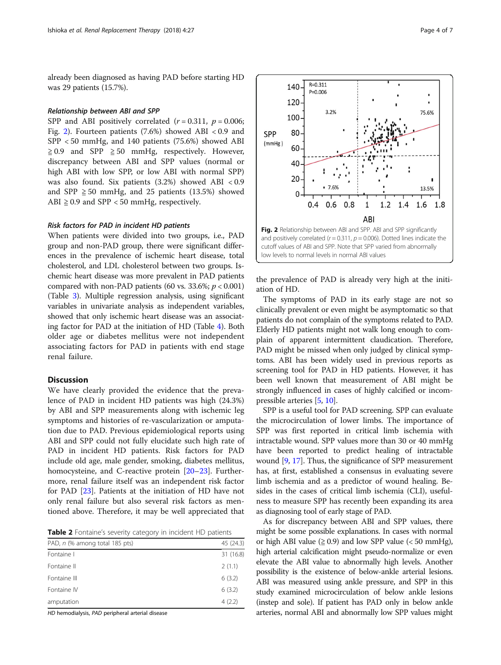<span id="page-3-0"></span>already been diagnosed as having PAD before starting HD was 29 patients (15.7%).

# Relationship between ABI and SPP

SPP and ABI positively correlated  $(r = 0.311, p = 0.006;$ Fig. 2). Fourteen patients (7.6%) showed ABI < 0.9 and SPP < 50 mmHg, and 140 patients (75.6%) showed ABI  $\geq 0.9$  and SPP  $\geq 50$  mmHg, respectively. However, discrepancy between ABI and SPP values (normal or high ABI with low SPP, or low ABI with normal SPP) was also found. Six patients (3.2%) showed ABI < 0.9 and SPP  $\geq$  50 mmHg, and 25 patients (13.5%) showed ABI  $\geq$  0.9 and SPP < 50 mmHg, respectively.

#### Risk factors for PAD in incident HD patients

When patients were divided into two groups, i.e., PAD group and non-PAD group, there were significant differences in the prevalence of ischemic heart disease, total cholesterol, and LDL cholesterol between two groups. Ischemic heart disease was more prevalent in PAD patients compared with non-PAD patients (60 vs. 33.6%;  $p < 0.001$ ) (Table [3](#page-4-0)). Multiple regression analysis, using significant variables in univariate analysis as independent variables, showed that only ischemic heart disease was an associating factor for PAD at the initiation of HD (Table [4\)](#page-4-0). Both older age or diabetes mellitus were not independent associating factors for PAD in patients with end stage renal failure.

## Discussion

We have clearly provided the evidence that the prevalence of PAD in incident HD patients was high (24.3%) by ABI and SPP measurements along with ischemic leg symptoms and histories of re-vascularization or amputation due to PAD. Previous epidemiological reports using ABI and SPP could not fully elucidate such high rate of PAD in incident HD patients. Risk factors for PAD include old age, male gender, smoking, diabetes mellitus, homocysteine, and C-reactive protein [\[20](#page-5-0)–[23\]](#page-6-0). Furthermore, renal failure itself was an independent risk factor for PAD [[23](#page-6-0)]. Patients at the initiation of HD have not only renal failure but also several risk factors as mentioned above. Therefore, it may be well appreciated that

Table 2 Fontaine's severity category in incident HD patients

| PAD, n (% among total 185 pts) | 45 (24.3) |
|--------------------------------|-----------|
| Fontaine I                     | 31 (16.8) |
| Fontaine II                    | 2(1.1)    |
| Fontaine III                   | 6(3.2)    |
| Fontaine IV                    | 6(3.2)    |
| amputation                     | 4(2.2)    |

HD hemodialysis, PAD peripheral arterial disease



the prevalence of PAD is already very high at the initiation of HD.

The symptoms of PAD in its early stage are not so clinically prevalent or even might be asymptomatic so that patients do not complain of the symptoms related to PAD. Elderly HD patients might not walk long enough to complain of apparent intermittent claudication. Therefore, PAD might be missed when only judged by clinical symptoms. ABI has been widely used in previous reports as screening tool for PAD in HD patients. However, it has been well known that measurement of ABI might be strongly influenced in cases of highly calcified or incompressible arteries [\[5,](#page-5-0) [10](#page-5-0)].

SPP is a useful tool for PAD screening. SPP can evaluate the microcirculation of lower limbs. The importance of SPP was first reported in critical limb ischemia with intractable wound. SPP values more than 30 or 40 mmHg have been reported to predict healing of intractable wound [\[9,](#page-5-0) [17](#page-5-0)]. Thus, the significance of SPP measurement has, at first, established a consensus in evaluating severe limb ischemia and as a predictor of wound healing. Besides in the cases of critical limb ischemia (CLI), usefulness to measure SPP has recently been expanding its area as diagnosing tool of early stage of PAD.

As for discrepancy between ABI and SPP values, there might be some possible explanations. In cases with normal or high ABI value ( $\geq 0.9$ ) and low SPP value (< 50 mmHg), high arterial calcification might pseudo-normalize or even elevate the ABI value to abnormally high levels. Another possibility is the existence of below-ankle arterial lesions. ABI was measured using ankle pressure, and SPP in this study examined microcirculation of below ankle lesions (instep and sole). If patient has PAD only in below ankle arteries, normal ABI and abnormally low SPP values might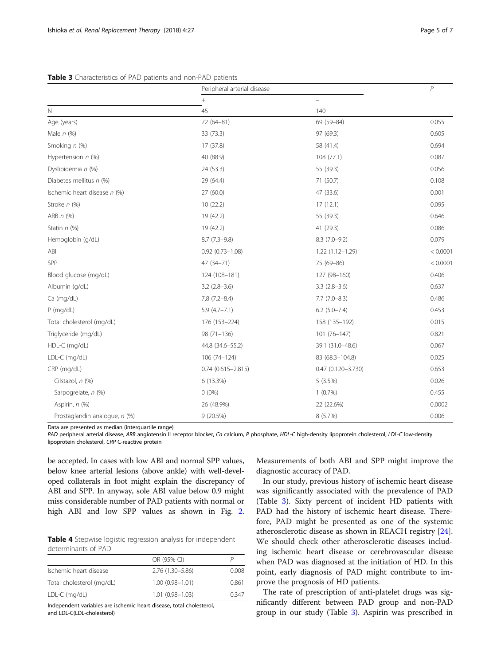<span id="page-4-0"></span>

|                               | Peripheral arterial disease |                       | $\overline{P}$ |
|-------------------------------|-----------------------------|-----------------------|----------------|
| $\mathsf{N}$                  | $\! + \!$                   |                       |                |
|                               | 45                          | 140                   |                |
| Age (years)                   | 72 (64-81)                  | 69 (59-84)            | 0.055          |
| Male $n$ (%)                  | 33 (73.3)                   | 97 (69.3)             | 0.605          |
| Smoking n (%)                 | 17 (37.8)                   | 58 (41.4)             | 0.694          |
| Hypertension $n$ (%)          | 40 (88.9)                   | 108 (77.1)            | 0.087          |
| Dyslipidemia n (%)            | 24 (53.3)                   | 55 (39.3)             | 0.056          |
| Diabetes mellitus n (%)       | 29 (64.4)                   | 71 (50.7)             | 0.108          |
| Ischemic heart disease n (%)  | 27 (60.0)                   | 47 (33.6)             | 0.001          |
| Stroke n (%)                  | 10(22.2)                    | 17(12.1)              | 0.095          |
| ARB $n$ (%)                   | 19 (42.2)                   | 55 (39.3)             | 0.646          |
| Statin $n$ (%)                | 19 (42.2)                   | 41 (29.3)             | 0.086          |
| Hemoglobin (g/dL)             | $8.7(7.3-9.8)$              | $8.3(7.0-9.2)$        | 0.079          |
| ABI                           | $0.92(0.73 - 1.08)$         | $1.22(1.12 - 1.29)$   | < 0.0001       |
| SPP                           | $47(34 - 71)$               | 75 (69-86)            | < 0.0001       |
| Blood glucose (mg/dL)         | 124 (108-181)               | 127 (98-160)          | 0.406          |
| Albumin (q/dL)                | $3.2$ (2.8-3.6)             | $3.3(2.8-3.6)$        | 0.637          |
| Ca (mg/dL)                    | $7.8(7.2 - 8.4)$            | $7.7(7.0-8.3)$        | 0.486          |
| $P$ (mg/dL)                   | $5.9(4.7 - 7.1)$            | $6.2$ $(5.0 - 7.4)$   | 0.453          |
| Total cholesterol (mg/dL)     | 176 (153-224)               | 158 (135-192)         | 0.015          |
| Triglyceride (mg/dL)          | $98(71-136)$                | $101(76 - 147)$       | 0.821          |
| HDL-C (mg/dL)                 | 44.8 (34.6-55.2)            | 39.1 (31.0-48.6)      | 0.067          |
| LDL-C (mg/dL)                 | 106 (74-124)                | 83 (68.3-104.8)       | 0.025          |
| CRP (mg/dL)                   | $0.74(0.615 - 2.815)$       | $0.47(0.120 - 3.730)$ | 0.653          |
| Cilstazol, n (%)              | 6 (13.3%)                   | 5(3.5%)               | 0.026          |
| Sarpogrelate, n (%)           | $0(0\%)$                    | $1(0.7\%)$            | 0.455          |
| Aspirin, n (%)                | 26 (48.9%)                  | 22 (22.6%)            | 0.0002         |
| Prostaglandin analogue, n (%) | 9(20.5%)                    | 8 (5.7%)              | 0.006          |

Data are presented as median (interquartile range)

PAD peripheral arterial disease, ARB angiotensin II receptor blocker, Ca calcium, P phosphate, HDL-C high-density lipoprotein cholesterol, LDL-C low-density lipoprotein cholesterol, CRP C-reactive protein

be accepted. In cases with low ABI and normal SPP values, below knee arterial lesions (above ankle) with well-developed collaterals in foot might explain the discrepancy of ABI and SPP. In anyway, sole ABI value below 0.9 might miss considerable number of PAD patients with normal or high ABI and low SPP values as shown in Fig. [2](#page-3-0).

Table 4 Stepwise logistic regression analysis for independent determinants of PAD

|                           | OR (95% CI)         |         |
|---------------------------|---------------------|---------|
| Ischemic heart disease    | 2.76 (1.30-5.86)    | 0.008   |
| Total cholesterol (mg/dL) | $1.00(0.98 - 1.01)$ | 0.861   |
| $LDL-C (mq/dL)$           | $1.01(0.98 - 1.03)$ | 0 3 4 7 |

Independent variables are ischemic heart disease, total cholesterol, and LDL-C(LDL-cholesterol)

Measurements of both ABI and SPP might improve the diagnostic accuracy of PAD.

In our study, previous history of ischemic heart disease was significantly associated with the prevalence of PAD (Table 3). Sixty percent of incident HD patients with PAD had the history of ischemic heart disease. Therefore, PAD might be presented as one of the systemic atherosclerotic disease as shown in REACH registry [\[24](#page-6-0)]. We should check other atherosclerotic diseases including ischemic heart disease or cerebrovascular disease when PAD was diagnosed at the initiation of HD. In this point, early diagnosis of PAD might contribute to improve the prognosis of HD patients.

The rate of prescription of anti-platelet drugs was significantly different between PAD group and non-PAD group in our study (Table 3). Aspirin was prescribed in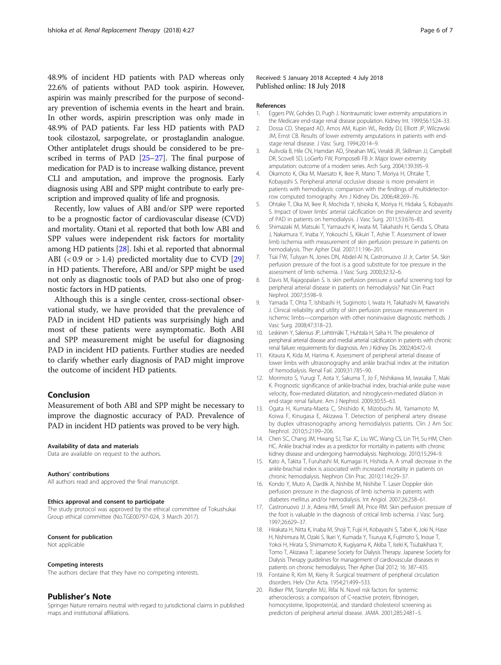<span id="page-5-0"></span>48.9% of incident HD patients with PAD whereas only 22.6% of patients without PAD took aspirin. However, aspirin was mainly prescribed for the purpose of secondary prevention of ischemia events in the heart and brain. In other words, aspirin prescription was only made in 48.9% of PAD patients. Far less HD patients with PAD took cilostazol, sarpogrelate, or prostaglandin analogue. Other antiplatelet drugs should be considered to be prescribed in terms of PAD [[25](#page-6-0)–[27\]](#page-6-0). The final purpose of medication for PAD is to increase walking distance, prevent CLI and amputation, and improve the prognosis. Early diagnosis using ABI and SPP might contribute to early prescription and improved quality of life and prognosis.

Recently, low values of ABI and/or SPP were reported to be a prognostic factor of cardiovascular disease (CVD) and mortality. Otani et al. reported that both low ABI and SPP values were independent risk factors for mortality among HD patients [\[28\]](#page-6-0). Ishi et al. reported that abnormal ABI  $( $0.9 \text{ or } > 1.4$ ) predicted mortality due to CVD [29]$  $( $0.9 \text{ or } > 1.4$ ) predicted mortality due to CVD [29]$  $( $0.9 \text{ or } > 1.4$ ) predicted mortality due to CVD [29]$ in HD patients. Therefore, ABI and/or SPP might be used not only as diagnostic tools of PAD but also one of prognostic factors in HD patients.

Although this is a single center, cross-sectional observational study, we have provided that the prevalence of PAD in incident HD patients was surprisingly high and most of these patients were asymptomatic. Both ABI and SPP measurement might be useful for diagnosing PAD in incident HD patients. Further studies are needed to clarify whether early diagnosis of PAD might improve the outcome of incident HD patients.

### Conclusion

Measurement of both ABI and SPP might be necessary to improve the diagnostic accuracy of PAD. Prevalence of PAD in incident HD patients was proved to be very high.

#### Availability of data and materials

Data are available on request to the authors.

#### Authors' contributions

All authors read and approved the final manuscript.

#### Ethics approval and consent to participate

The study protocol was approved by the ethical committee of Tokushukai Group ethical committee (No.TGE00797-024, 3 March 2017).

#### Consent for publication

Not applicable

#### Competing interests

The authors declare that they have no competing interests.

#### Publisher's Note

Springer Nature remains neutral with regard to jurisdictional claims in published maps and institutional affiliations.

### Received: 5 January 2018 Accepted: 4 July 2018 Published online: 18 July 2018

#### References

- 1. Eggers PW, Gohdes D, Pugh J. Nontraumatic lower extremity amputations in the Medicare end-stage renal disease population. Kidney Int. 1999;56:1524–33.
- 2. Dossa CD, Shepard AD, Amos AM, Kupin WL, Reddy DJ, Elliott JP, Wilczwski JM, Ernst CB. Results of lower extremity amputations in patients with endstage renal disease. J Vasc Surg. 1994;20:14–9.
- 3. Aulivola B, Hile CN, Hamdan AD, Sheahan MG, Veraldi JR, Skillman JJ, Campbell DR, Scovell SD, LoGerfo FW, Pomposelli FB Jr. Major lower extremity amputation: outcome of a modern series. Arch Surg. 2004;139:395–9.
- 4. Okamoto K, Oka M, Maesato K, Ikee R, Mano T, Moriya H, Ohtake T, Kobayashi S. Peripheral arterial occlusive disease is more prevalent in patients with hemodialysis: comparison with the findings of multidetectorrow computed tomography. Am J Kidney Dis. 2006;48:269–76.
- 5. Ohtake T, Oka M, Ikee R, Mochida Y, Ishioka K, Moriya H, Hidaka S, Kobayashi S. Impact of lower limbs' arterial calcification on the prevalence and severity of PAD in patients on hemodialysis. J Vasc Surg. 2011;53:676–83.
- 6. Shimazaki M, Matsuki T, Yamauchi K, Iwata M, Takahashi H, Genda S, Ohata J, Nakamura Y, Inaba Y, Yokouchi S, Kikuiri T, Ashie T. Assessment of lower limb ischemia with measurement of skin perfusion pressure in patients on hemodialysis. Ther Apher Dial. 2007;11:196–201.
- 7. Tsai FW, Tulsyan N, Jones DN, Abdel-Al N, Castronuovo JJ Jr, Carter SA. Skin perfusion pressure of the foot is a good substitute for toe pressure in the assessment of limb ischemia. J Vasc Surg. 2000;32:32–6.
- 8. Davis M, Rajagopalan S. Is skin perfusion pressure a useful screening tool for peripheral arterial disease in patients on hemodialysis? Nat Clin Pract Nephrol. 2007;3:598–9.
- 9. Yamada T, Ohta T, Ishibashi H, Sugimoto I, Iwata H, Takahashi M, Kawanishi J. Clinical reliability and utility of skin perfusion pressure measurement in ischemic limbs—comparison with other noninvasive diagnostic methods. J Vasc Surg. 2008;47:318–23.
- 10. Leskinen Y, Salenius JP, Lehtimäki T, Huhtala H, Saha H. The prevalence of peripheral arterial disease and medial arterial calcification in patients with chronic renal failure: requirements for diagnosis. Am J Kidney Dis. 2002;40:472–9.
- 11. Kitaura K, Kida M, Harima K. Assessment of peripheral arterial disease of lower limbs with ultrasonography and ankle brachial index at the initiation of hemodialysis. Renal Fail. 2009;31:785–90.
- 12. Morimoto S, Yurugi T, Aota Y, Sakuma T, Jo F, Nishikawa M, Iwasaka T, Maki K. Prognostic significance of ankle-brachial index, brachial-ankle pulse wave velocity, flow-mediated dilatation, and nitroglycerin-mediated dilation in end-stage renal failure. Am J Nephrol. 2009;30:55–63.
- 13. Ogata H, Kumata-Maeta C, Shishido K, Mizobuchi M, Yamamoto M, Koiwa F, Kinugasa E, Akizawa T. Detection of peripheral artery disease by duplex ultrasonography among hemodialysis patients. Clin J Am Soc Nephrol. 2010;5:2199–206.
- 14. Chen SC, Chang JM, Hwang SJ, Tsai JC, Liu WC, Wang CS, Lin TH, Su HM, Chen HC. Ankle brachial index as a predictor for mortality in patients with chronic kidney disease and undergoing haemodialysis. Nephrology. 2010;15:294–9.
- 15. Kato A, Takita T, Furuhashi M, Kumagai H, Hishida A. A small decrease in the ankle-brachial index is associated with increased mortality in patients on chronic hemodialysis. Nephron Clin Prac. 2010;114:c29–37.
- 16. Kondo Y, Muto A, Dardik A, Nishibe M, Nishibe T. Laser Doppler skin perfusion pressure in the diagnosis of limb ischemia in patients with diabetes mellitus and/or hemodialysis. Int Angiol. 2007;26:258–61.
- 17. Castronuovo JJ Jr, Adera HM, Smiell JM, Price RM. Skin perfusion pressure of the foot is valuable in the diagnosis of critical limb ischemia. J Vasc Surg. 1997;26:629–37.
- 18. Hirakata H, Nitta K, Inaba M, Shoji T, Fujii H, Kobayashi S, Tabei K, Joki N, Hase H, Nishimura M, Ozaki S, Ikari Y, Kumada Y, Tsuruya K, Fujimoto S, Inoue T, Yokoi H, Hirata S, Shimamoto K, Kugiyama K, Akiba T, Iseki K, Tsubakihara Y, Tomo T, Akizawa T; Japanese Society for Dialysis Therapy. Japanese Society for Dialysis Therapy guidelines for management of cardiovascular diseases in patients on chronic hemodialysis. Ther Apher Dial 2012; 16: 387–435.
- 19. Fontaine R, Kim M, Kieny R. Surgical treatment of peripheral circulation disorders. Helv Chir Acta. 1954;21:499–533.
- 20. Ridker PM, Stampfer MJ, Rifai N. Novel risk factors for systemic atherosclerosis: a comparison of C-reactive protein, fibrinogen, homocysteine, lipoprotein(a), and standard cholesterol screening as predictors of peripheral arterial disease. JAMA. 2001;285:2481–5.